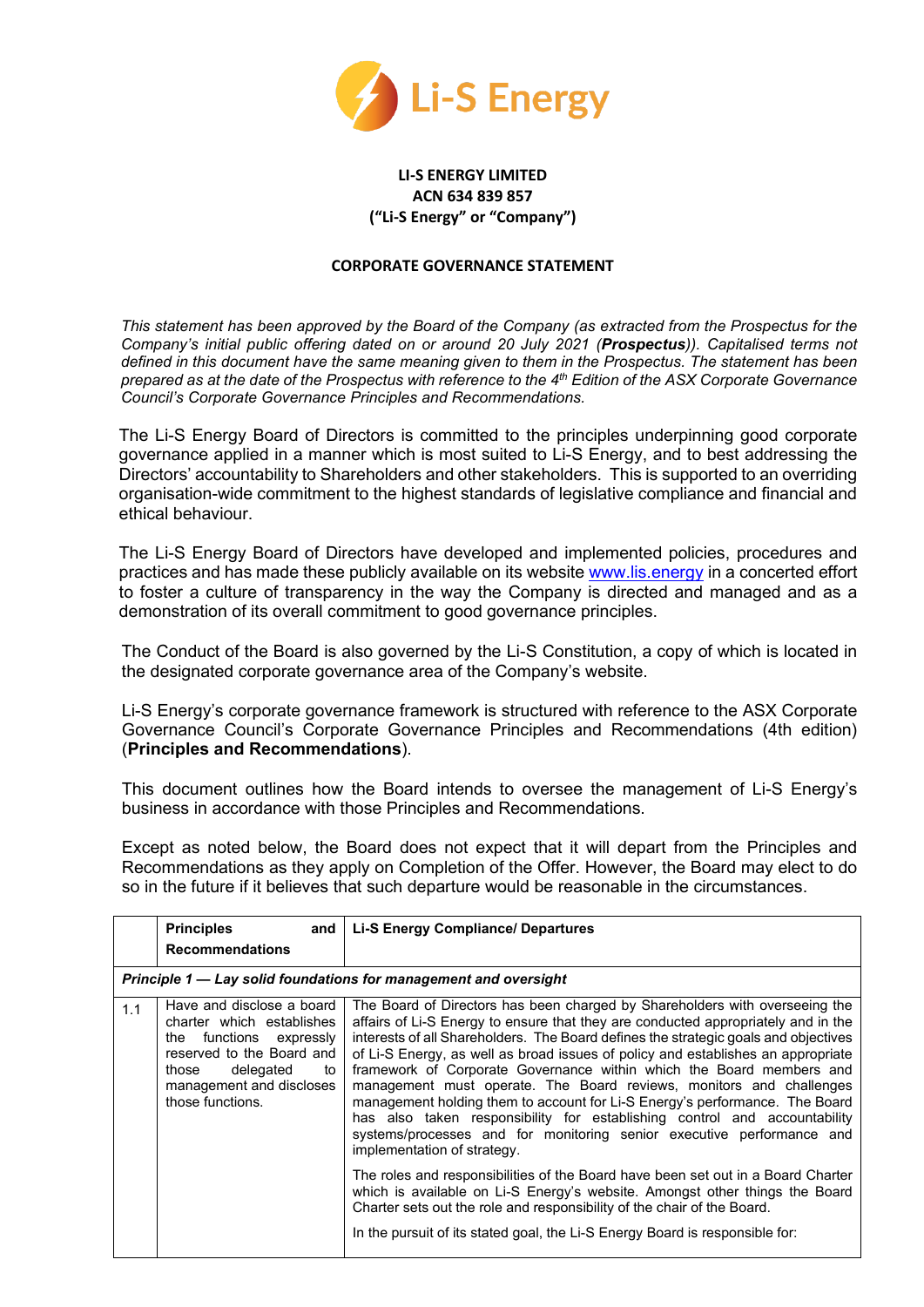

## **LI-S ENERGY LIMITED ACN 634 839 857 ("Li-S Energy" or "Company")**

## **CORPORATE GOVERNANCE STATEMENT**

*This statement has been approved by the Board of the Company (as extracted from the Prospectus for the Company's initial public offering dated on or around 20 July 2021 (Prospectus)). Capitalised terms not defined in this document have the same meaning given to them in the Prospectus. The statement has been prepared as at the date of the Prospectus with reference to the 4th Edition of the ASX Corporate Governance Council's Corporate Governance Principles and Recommendations.*

The Li-S Energy Board of Directors is committed to the principles underpinning good corporate governance applied in a manner which is most suited to Li-S Energy, and to best addressing the Directors' accountability to Shareholders and other stakeholders. This is supported to an overriding organisation-wide commitment to the highest standards of legislative compliance and financial and ethical behaviour.

The Li-S Energy Board of Directors have developed and implemented policies, procedures and practices and has made these publicly available on its websit[e www.lis.energy](http://www.lis.energy/) in a concerted effort to foster a culture of transparency in the way the Company is directed and managed and as a demonstration of its overall commitment to good governance principles.

The Conduct of the Board is also governed by the Li-S Constitution, a copy of which is located in the designated corporate governance area of the Company's website.

Li-S Energy's corporate governance framework is structured with reference to the ASX Corporate Governance Council's Corporate Governance Principles and Recommendations (4th edition) (**Principles and Recommendations**).

This document outlines how the Board intends to oversee the management of Li-S Energy's business in accordance with those Principles and Recommendations.

Except as noted below, the Board does not expect that it will depart from the Principles and Recommendations as they apply on Completion of the Offer. However, the Board may elect to do so in the future if it believes that such departure would be reasonable in the circumstances.

|     | <b>Principles</b><br>and<br><b>Recommendations</b>                                                                                                                                         | <b>Li-S Energy Compliance/ Departures</b>                                                                                                                                                                                                                                                                                                                                                                                                                                                                                                                                                                                                                                                                                                                      |
|-----|--------------------------------------------------------------------------------------------------------------------------------------------------------------------------------------------|----------------------------------------------------------------------------------------------------------------------------------------------------------------------------------------------------------------------------------------------------------------------------------------------------------------------------------------------------------------------------------------------------------------------------------------------------------------------------------------------------------------------------------------------------------------------------------------------------------------------------------------------------------------------------------------------------------------------------------------------------------------|
|     |                                                                                                                                                                                            | Principle 1 - Lay solid foundations for management and oversight                                                                                                                                                                                                                                                                                                                                                                                                                                                                                                                                                                                                                                                                                               |
| 1.1 | Have and disclose a board<br>charter which establishes<br>the functions expressly<br>reserved to the Board and<br>delegated<br>those<br>to<br>management and discloses<br>those functions. | The Board of Directors has been charged by Shareholders with overseeing the<br>affairs of Li-S Energy to ensure that they are conducted appropriately and in the<br>interests of all Shareholders. The Board defines the strategic goals and objectives<br>of Li-S Energy, as well as broad issues of policy and establishes an appropriate<br>framework of Corporate Governance within which the Board members and<br>management must operate. The Board reviews, monitors and challenges<br>management holding them to account for Li-S Energy's performance. The Board<br>has also taken responsibility for establishing control and accountability<br>systems/processes and for monitoring senior executive performance and<br>implementation of strategy. |
|     |                                                                                                                                                                                            | The roles and responsibilities of the Board have been set out in a Board Charter<br>which is available on Li-S Energy's website. Amongst other things the Board<br>Charter sets out the role and responsibility of the chair of the Board.                                                                                                                                                                                                                                                                                                                                                                                                                                                                                                                     |
|     |                                                                                                                                                                                            | In the pursuit of its stated goal, the Li-S Energy Board is responsible for:                                                                                                                                                                                                                                                                                                                                                                                                                                                                                                                                                                                                                                                                                   |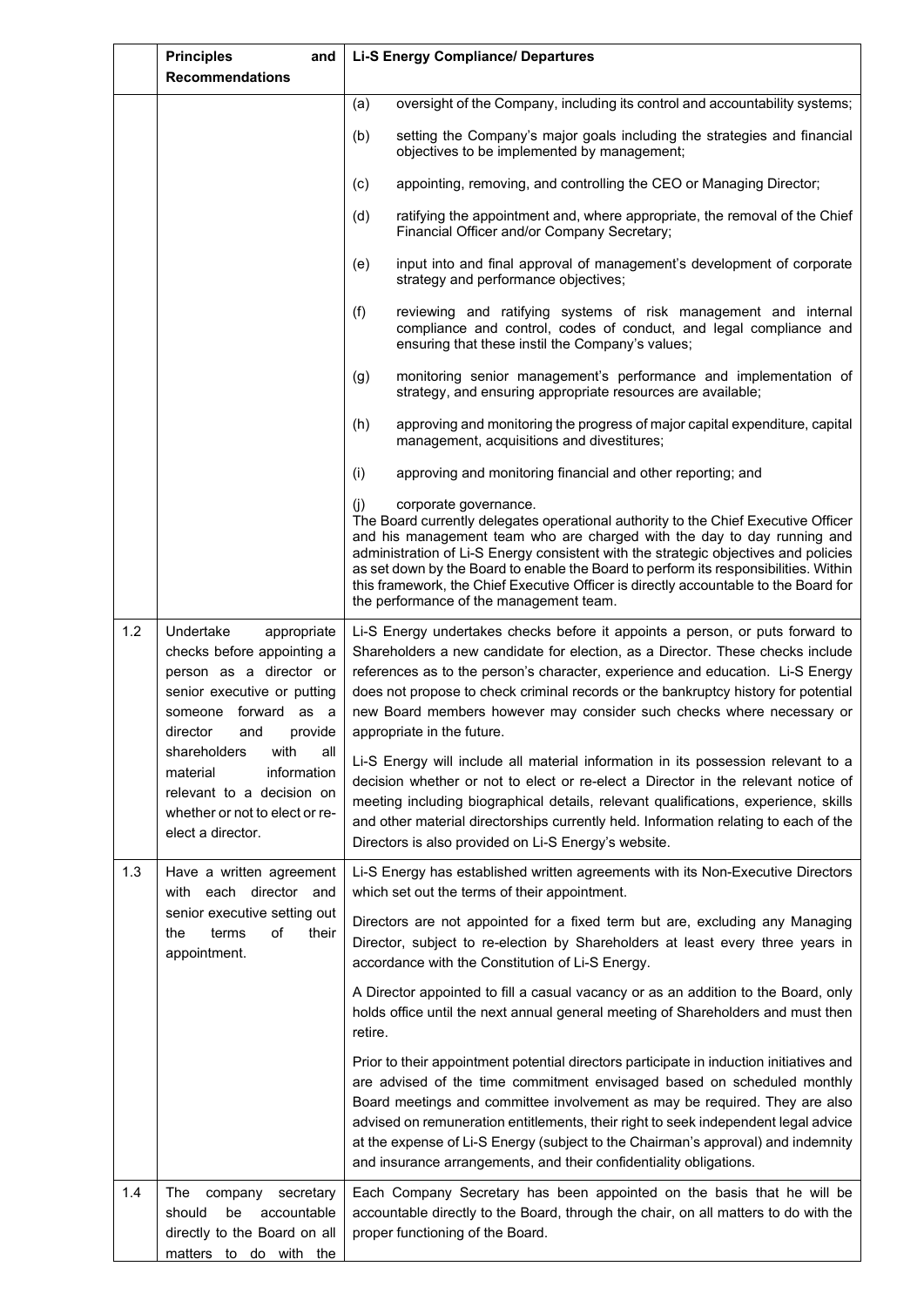|     | <b>Principles</b><br>and<br><b>Recommendations</b>                                                                                                                     | <b>Li-S Energy Compliance/ Departures</b>                                                                                                                                                                                                                                                                                                                                                                                                                                                                       |
|-----|------------------------------------------------------------------------------------------------------------------------------------------------------------------------|-----------------------------------------------------------------------------------------------------------------------------------------------------------------------------------------------------------------------------------------------------------------------------------------------------------------------------------------------------------------------------------------------------------------------------------------------------------------------------------------------------------------|
|     |                                                                                                                                                                        | oversight of the Company, including its control and accountability systems;<br>(a)                                                                                                                                                                                                                                                                                                                                                                                                                              |
|     |                                                                                                                                                                        | (b)<br>setting the Company's major goals including the strategies and financial<br>objectives to be implemented by management;                                                                                                                                                                                                                                                                                                                                                                                  |
|     |                                                                                                                                                                        | appointing, removing, and controlling the CEO or Managing Director;<br>(c)                                                                                                                                                                                                                                                                                                                                                                                                                                      |
|     |                                                                                                                                                                        | (d)<br>ratifying the appointment and, where appropriate, the removal of the Chief<br>Financial Officer and/or Company Secretary;                                                                                                                                                                                                                                                                                                                                                                                |
|     |                                                                                                                                                                        | input into and final approval of management's development of corporate<br>(e)<br>strategy and performance objectives;                                                                                                                                                                                                                                                                                                                                                                                           |
|     |                                                                                                                                                                        | (f)<br>reviewing and ratifying systems of risk management and internal<br>compliance and control, codes of conduct, and legal compliance and<br>ensuring that these instil the Company's values;                                                                                                                                                                                                                                                                                                                |
|     |                                                                                                                                                                        | monitoring senior management's performance and implementation of<br>(g)<br>strategy, and ensuring appropriate resources are available;                                                                                                                                                                                                                                                                                                                                                                          |
|     |                                                                                                                                                                        | (h)<br>approving and monitoring the progress of major capital expenditure, capital<br>management, acquisitions and divestitures;                                                                                                                                                                                                                                                                                                                                                                                |
|     |                                                                                                                                                                        | (i)<br>approving and monitoring financial and other reporting; and                                                                                                                                                                                                                                                                                                                                                                                                                                              |
|     |                                                                                                                                                                        | corporate governance.<br>(i)<br>The Board currently delegates operational authority to the Chief Executive Officer<br>and his management team who are charged with the day to day running and<br>administration of Li-S Energy consistent with the strategic objectives and policies<br>as set down by the Board to enable the Board to perform its responsibilities. Within<br>this framework, the Chief Executive Officer is directly accountable to the Board for<br>the performance of the management team. |
| 1.2 | Undertake<br>appropriate<br>checks before appointing a<br>person as a director or<br>senior executive or putting<br>someone forward as a<br>provide<br>director<br>and | Li-S Energy undertakes checks before it appoints a person, or puts forward to<br>Shareholders a new candidate for election, as a Director. These checks include<br>references as to the person's character, experience and education. Li-S Energy<br>does not propose to check criminal records or the bankruptcy history for potential<br>new Board members however may consider such checks where necessary or<br>appropriate in the future.                                                                  |
|     | shareholders<br>with<br>all<br>information<br>material<br>relevant to a decision on<br>whether or not to elect or re-<br>elect a director.                             | Li-S Energy will include all material information in its possession relevant to a<br>decision whether or not to elect or re-elect a Director in the relevant notice of<br>meeting including biographical details, relevant qualifications, experience, skills<br>and other material directorships currently held. Information relating to each of the<br>Directors is also provided on Li-S Energy's website.                                                                                                   |
| 1.3 | Have a written agreement<br>with each director and                                                                                                                     | Li-S Energy has established written agreements with its Non-Executive Directors<br>which set out the terms of their appointment.                                                                                                                                                                                                                                                                                                                                                                                |
|     | senior executive setting out<br>of<br>terms<br>their<br>the<br>appointment.                                                                                            | Directors are not appointed for a fixed term but are, excluding any Managing<br>Director, subject to re-election by Shareholders at least every three years in<br>accordance with the Constitution of Li-S Energy.                                                                                                                                                                                                                                                                                              |
|     |                                                                                                                                                                        | A Director appointed to fill a casual vacancy or as an addition to the Board, only<br>holds office until the next annual general meeting of Shareholders and must then<br>retire.                                                                                                                                                                                                                                                                                                                               |
|     |                                                                                                                                                                        | Prior to their appointment potential directors participate in induction initiatives and<br>are advised of the time commitment envisaged based on scheduled monthly<br>Board meetings and committee involvement as may be required. They are also<br>advised on remuneration entitlements, their right to seek independent legal advice<br>at the expense of Li-S Energy (subject to the Chairman's approval) and indemnity<br>and insurance arrangements, and their confidentiality obligations.                |
| 1.4 | The<br>company<br>secretary<br>should<br>be<br>accountable<br>directly to the Board on all<br>matters to do with the                                                   | Each Company Secretary has been appointed on the basis that he will be<br>accountable directly to the Board, through the chair, on all matters to do with the<br>proper functioning of the Board.                                                                                                                                                                                                                                                                                                               |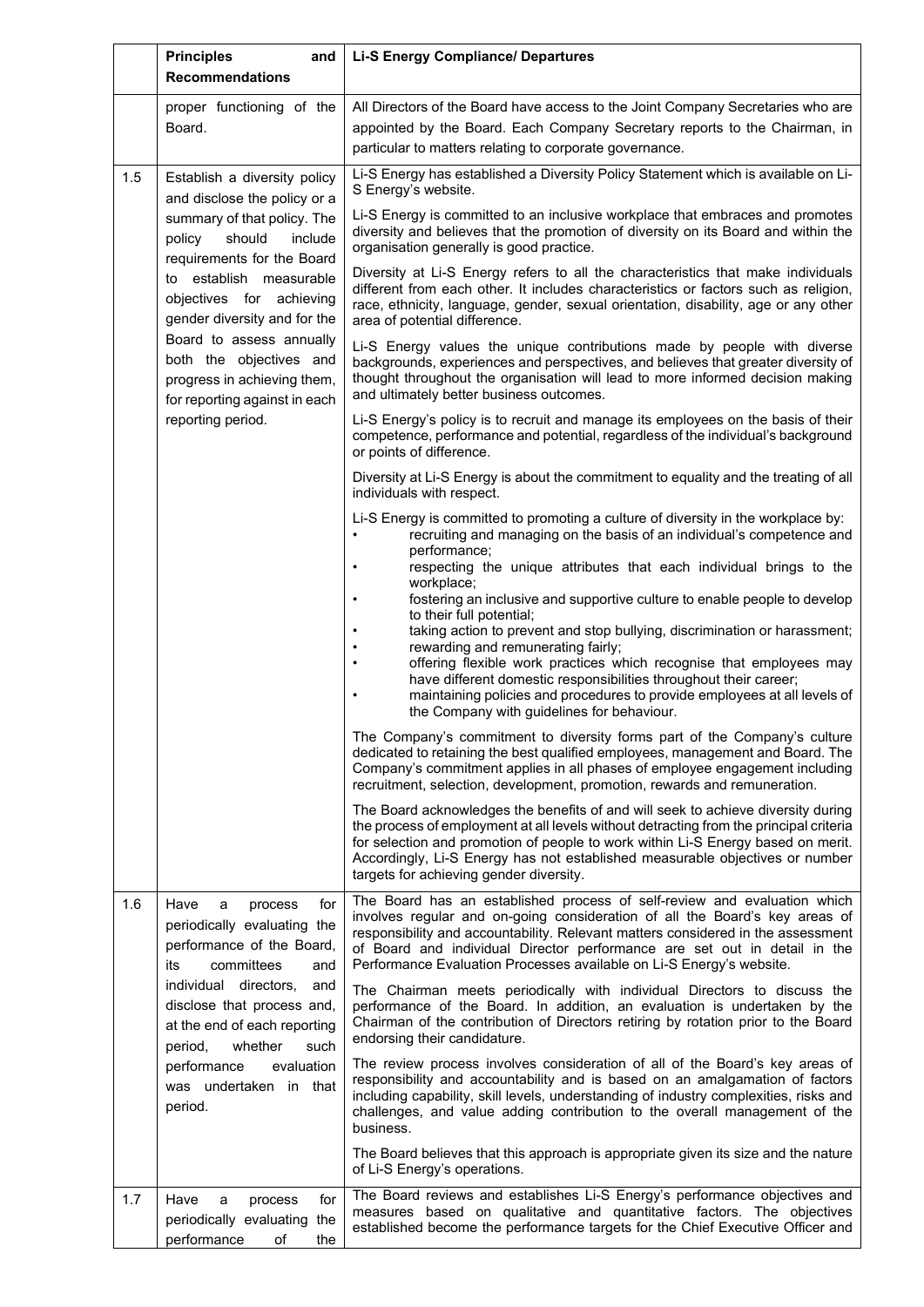|     | <b>Principles</b><br>and<br><b>Recommendations</b>                                                                                                                                         | <b>Li-S Energy Compliance/ Departures</b>                                                                                                                                                                                                                                                                                                                                                                                                                                                                                                                                     |
|-----|--------------------------------------------------------------------------------------------------------------------------------------------------------------------------------------------|-------------------------------------------------------------------------------------------------------------------------------------------------------------------------------------------------------------------------------------------------------------------------------------------------------------------------------------------------------------------------------------------------------------------------------------------------------------------------------------------------------------------------------------------------------------------------------|
|     | proper functioning of the<br>Board.                                                                                                                                                        | All Directors of the Board have access to the Joint Company Secretaries who are<br>appointed by the Board. Each Company Secretary reports to the Chairman, in<br>particular to matters relating to corporate governance.                                                                                                                                                                                                                                                                                                                                                      |
| 1.5 | Establish a diversity policy<br>and disclose the policy or a                                                                                                                               | Li-S Energy has established a Diversity Policy Statement which is available on Li-<br>S Energy's website.                                                                                                                                                                                                                                                                                                                                                                                                                                                                     |
|     | summary of that policy. The<br>should<br>policy<br>include<br>requirements for the Board                                                                                                   | Li-S Energy is committed to an inclusive workplace that embraces and promotes<br>diversity and believes that the promotion of diversity on its Board and within the<br>organisation generally is good practice.                                                                                                                                                                                                                                                                                                                                                               |
|     | to establish measurable<br>objectives for achieving<br>gender diversity and for the                                                                                                        | Diversity at Li-S Energy refers to all the characteristics that make individuals<br>different from each other. It includes characteristics or factors such as religion,<br>race, ethnicity, language, gender, sexual orientation, disability, age or any other<br>area of potential difference.                                                                                                                                                                                                                                                                               |
|     | Board to assess annually<br>both the objectives and<br>progress in achieving them,<br>for reporting against in each                                                                        | Li-S Energy values the unique contributions made by people with diverse<br>backgrounds, experiences and perspectives, and believes that greater diversity of<br>thought throughout the organisation will lead to more informed decision making<br>and ultimately better business outcomes.                                                                                                                                                                                                                                                                                    |
|     | reporting period.                                                                                                                                                                          | Li-S Energy's policy is to recruit and manage its employees on the basis of their<br>competence, performance and potential, regardless of the individual's background<br>or points of difference.                                                                                                                                                                                                                                                                                                                                                                             |
|     |                                                                                                                                                                                            | Diversity at Li-S Energy is about the commitment to equality and the treating of all<br>individuals with respect.                                                                                                                                                                                                                                                                                                                                                                                                                                                             |
|     |                                                                                                                                                                                            | Li-S Energy is committed to promoting a culture of diversity in the workplace by:<br>recruiting and managing on the basis of an individual's competence and<br>$\bullet$<br>performance;                                                                                                                                                                                                                                                                                                                                                                                      |
|     |                                                                                                                                                                                            | respecting the unique attributes that each individual brings to the<br>$\bullet$<br>workplace;<br>fostering an inclusive and supportive culture to enable people to develop<br>$\bullet$<br>to their full potential;<br>taking action to prevent and stop bullying, discrimination or harassment;<br>rewarding and remunerating fairly;<br>offering flexible work practices which recognise that employees may<br>have different domestic responsibilities throughout their career;<br>maintaining policies and procedures to provide employees at all levels of<br>$\bullet$ |
|     |                                                                                                                                                                                            | the Company with guidelines for behaviour.<br>The Company's commitment to diversity forms part of the Company's culture<br>dedicated to retaining the best qualified employees, management and Board. The<br>Company's commitment applies in all phases of employee engagement including<br>recruitment, selection, development, promotion, rewards and remuneration.                                                                                                                                                                                                         |
|     |                                                                                                                                                                                            | The Board acknowledges the benefits of and will seek to achieve diversity during<br>the process of employment at all levels without detracting from the principal criteria<br>for selection and promotion of people to work within Li-S Energy based on merit.<br>Accordingly, Li-S Energy has not established measurable objectives or number<br>targets for achieving gender diversity.                                                                                                                                                                                     |
| 1.6 | Have<br>for<br>a<br>process<br>periodically evaluating the<br>performance of the Board,<br>committees<br>its<br>and                                                                        | The Board has an established process of self-review and evaluation which<br>involves regular and on-going consideration of all the Board's key areas of<br>responsibility and accountability. Relevant matters considered in the assessment<br>of Board and individual Director performance are set out in detail in the<br>Performance Evaluation Processes available on Li-S Energy's website.                                                                                                                                                                              |
|     | individual directors,<br>and<br>disclose that process and,<br>at the end of each reporting<br>period,<br>whether<br>such<br>performance<br>evaluation<br>was undertaken in that<br>period. | The Chairman meets periodically with individual Directors to discuss the<br>performance of the Board. In addition, an evaluation is undertaken by the<br>Chairman of the contribution of Directors retiring by rotation prior to the Board<br>endorsing their candidature.                                                                                                                                                                                                                                                                                                    |
|     |                                                                                                                                                                                            | The review process involves consideration of all of the Board's key areas of<br>responsibility and accountability and is based on an amalgamation of factors<br>including capability, skill levels, understanding of industry complexities, risks and<br>challenges, and value adding contribution to the overall management of the<br>business.                                                                                                                                                                                                                              |
|     |                                                                                                                                                                                            | The Board believes that this approach is appropriate given its size and the nature<br>of Li-S Energy's operations.                                                                                                                                                                                                                                                                                                                                                                                                                                                            |
| 1.7 | Have<br>for<br>a<br>process<br>periodically evaluating the<br>performance<br>οf<br>the                                                                                                     | The Board reviews and establishes Li-S Energy's performance objectives and<br>measures based on qualitative and quantitative factors. The objectives<br>established become the performance targets for the Chief Executive Officer and                                                                                                                                                                                                                                                                                                                                        |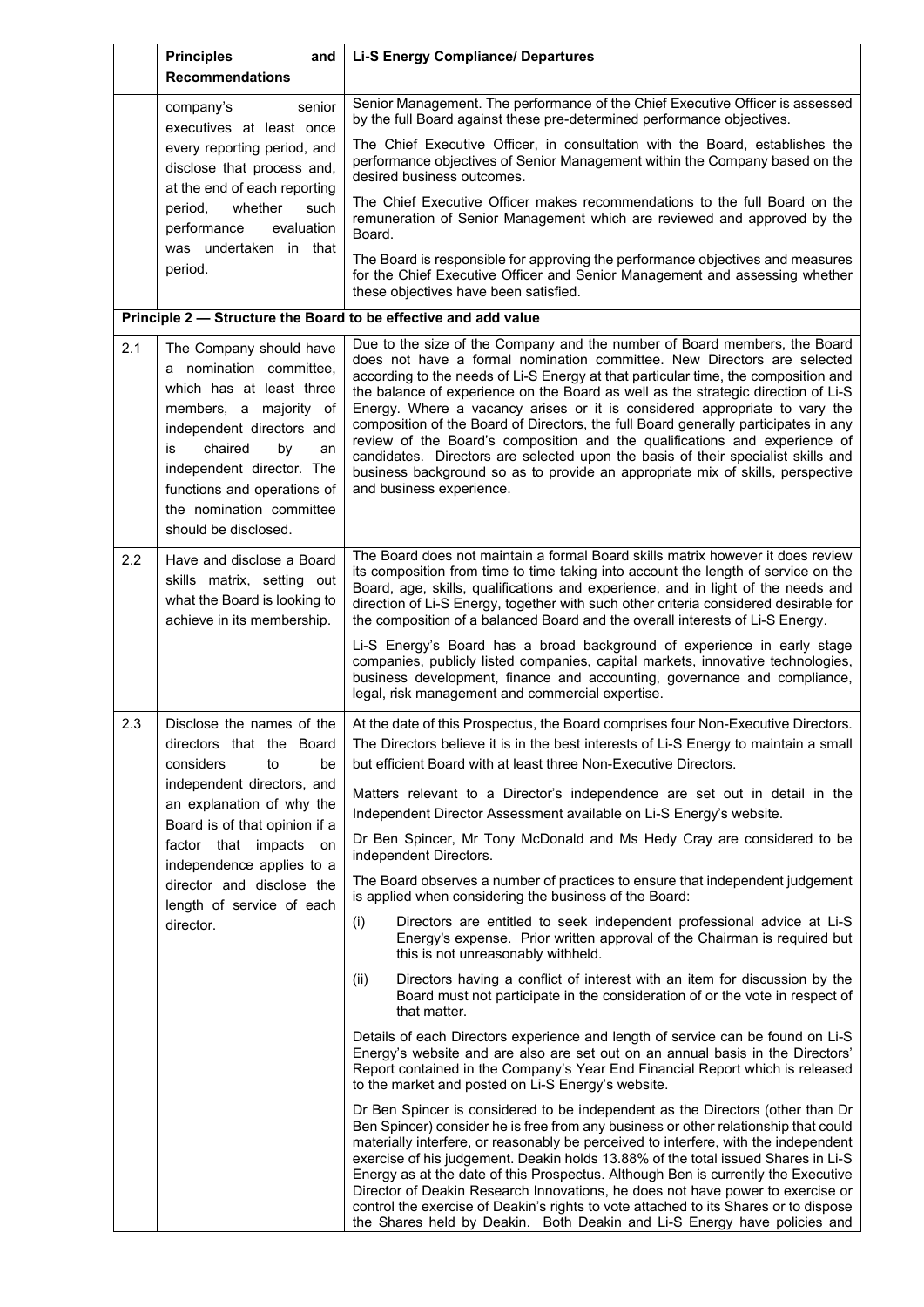|     | <b>Principles</b><br>and<br><b>Recommendations</b>                                                                                                                                                                                                                                 | <b>Li-S Energy Compliance/ Departures</b>                                                                                                                                                                                                                                                                                                                                                                                                                                                                                                                                                                                                                                                               |
|-----|------------------------------------------------------------------------------------------------------------------------------------------------------------------------------------------------------------------------------------------------------------------------------------|---------------------------------------------------------------------------------------------------------------------------------------------------------------------------------------------------------------------------------------------------------------------------------------------------------------------------------------------------------------------------------------------------------------------------------------------------------------------------------------------------------------------------------------------------------------------------------------------------------------------------------------------------------------------------------------------------------|
|     | company's<br>senior<br>executives at least once                                                                                                                                                                                                                                    | Senior Management. The performance of the Chief Executive Officer is assessed<br>by the full Board against these pre-determined performance objectives.                                                                                                                                                                                                                                                                                                                                                                                                                                                                                                                                                 |
|     | every reporting period, and<br>disclose that process and,<br>at the end of each reporting                                                                                                                                                                                          | The Chief Executive Officer, in consultation with the Board, establishes the<br>performance objectives of Senior Management within the Company based on the<br>desired business outcomes.                                                                                                                                                                                                                                                                                                                                                                                                                                                                                                               |
|     | period,<br>whether<br>such<br>evaluation<br>performance<br>was undertaken in that<br>period.                                                                                                                                                                                       | The Chief Executive Officer makes recommendations to the full Board on the<br>remuneration of Senior Management which are reviewed and approved by the<br>Board.<br>The Board is responsible for approving the performance objectives and measures<br>for the Chief Executive Officer and Senior Management and assessing whether                                                                                                                                                                                                                                                                                                                                                                       |
|     |                                                                                                                                                                                                                                                                                    | these objectives have been satisfied.<br>Principle 2 - Structure the Board to be effective and add value                                                                                                                                                                                                                                                                                                                                                                                                                                                                                                                                                                                                |
| 2.1 |                                                                                                                                                                                                                                                                                    | Due to the size of the Company and the number of Board members, the Board                                                                                                                                                                                                                                                                                                                                                                                                                                                                                                                                                                                                                               |
|     | The Company should have<br>a nomination committee,<br>which has at least three<br>members, a majority of<br>independent directors and<br>chaired<br>by<br>is<br>an<br>independent director. The<br>functions and operations of<br>the nomination committee<br>should be disclosed. | does not have a formal nomination committee. New Directors are selected<br>according to the needs of Li-S Energy at that particular time, the composition and<br>the balance of experience on the Board as well as the strategic direction of Li-S<br>Energy. Where a vacancy arises or it is considered appropriate to vary the<br>composition of the Board of Directors, the full Board generally participates in any<br>review of the Board's composition and the qualifications and experience of<br>candidates. Directors are selected upon the basis of their specialist skills and<br>business background so as to provide an appropriate mix of skills, perspective<br>and business experience. |
| 2.2 | Have and disclose a Board<br>skills matrix, setting out<br>what the Board is looking to<br>achieve in its membership.                                                                                                                                                              | The Board does not maintain a formal Board skills matrix however it does review<br>its composition from time to time taking into account the length of service on the<br>Board, age, skills, qualifications and experience, and in light of the needs and<br>direction of Li-S Energy, together with such other criteria considered desirable for<br>the composition of a balanced Board and the overall interests of Li-S Energy.                                                                                                                                                                                                                                                                      |
|     |                                                                                                                                                                                                                                                                                    | Li-S Energy's Board has a broad background of experience in early stage<br>companies, publicly listed companies, capital markets, innovative technologies,<br>business development, finance and accounting, governance and compliance,<br>legal, risk management and commercial expertise.                                                                                                                                                                                                                                                                                                                                                                                                              |
| 2.3 | Disclose the names of the<br>directors that the Board<br>considers<br>be<br>to                                                                                                                                                                                                     | At the date of this Prospectus, the Board comprises four Non-Executive Directors.<br>The Directors believe it is in the best interests of Li-S Energy to maintain a small<br>but efficient Board with at least three Non-Executive Directors.                                                                                                                                                                                                                                                                                                                                                                                                                                                           |
|     | independent directors, and<br>an explanation of why the<br>Board is of that opinion if a                                                                                                                                                                                           | Matters relevant to a Director's independence are set out in detail in the<br>Independent Director Assessment available on Li-S Energy's website.                                                                                                                                                                                                                                                                                                                                                                                                                                                                                                                                                       |
|     | factor that impacts<br>on<br>independence applies to a                                                                                                                                                                                                                             | Dr Ben Spincer, Mr Tony McDonald and Ms Hedy Cray are considered to be<br>independent Directors.                                                                                                                                                                                                                                                                                                                                                                                                                                                                                                                                                                                                        |
|     | director and disclose the<br>length of service of each                                                                                                                                                                                                                             | The Board observes a number of practices to ensure that independent judgement<br>is applied when considering the business of the Board:                                                                                                                                                                                                                                                                                                                                                                                                                                                                                                                                                                 |
|     | director.                                                                                                                                                                                                                                                                          | Directors are entitled to seek independent professional advice at Li-S<br>(i)<br>Energy's expense. Prior written approval of the Chairman is required but<br>this is not unreasonably withheld.                                                                                                                                                                                                                                                                                                                                                                                                                                                                                                         |
|     |                                                                                                                                                                                                                                                                                    | Directors having a conflict of interest with an item for discussion by the<br>(ii)<br>Board must not participate in the consideration of or the vote in respect of<br>that matter.                                                                                                                                                                                                                                                                                                                                                                                                                                                                                                                      |
|     |                                                                                                                                                                                                                                                                                    | Details of each Directors experience and length of service can be found on Li-S<br>Energy's website and are also are set out on an annual basis in the Directors'<br>Report contained in the Company's Year End Financial Report which is released<br>to the market and posted on Li-S Energy's website.                                                                                                                                                                                                                                                                                                                                                                                                |
|     |                                                                                                                                                                                                                                                                                    | Dr Ben Spincer is considered to be independent as the Directors (other than Dr<br>Ben Spincer) consider he is free from any business or other relationship that could<br>materially interfere, or reasonably be perceived to interfere, with the independent<br>exercise of his judgement. Deakin holds 13.88% of the total issued Shares in Li-S<br>Energy as at the date of this Prospectus. Although Ben is currently the Executive<br>Director of Deakin Research Innovations, he does not have power to exercise or<br>control the exercise of Deakin's rights to vote attached to its Shares or to dispose<br>the Shares held by Deakin. Both Deakin and Li-S Energy have policies and            |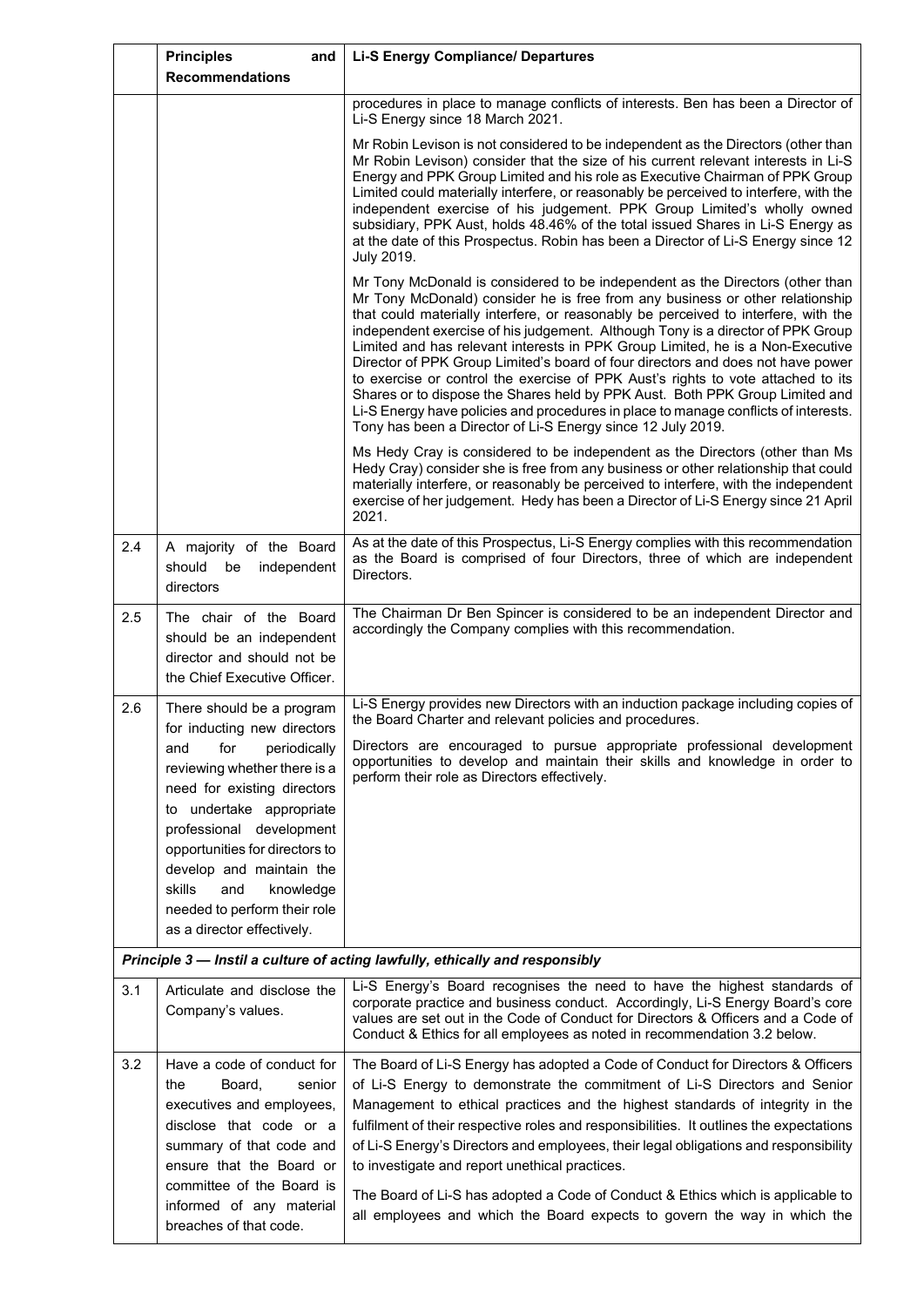|     | <b>Principles</b><br>and<br><b>Recommendations</b>                                                                                                                                                                                                                                                                                                                      | <b>Li-S Energy Compliance/ Departures</b>                                                                                                                                                                                                                                                                                                                                                                                                                                                                                                                                                                                                                                                                                                                                                                                              |
|-----|-------------------------------------------------------------------------------------------------------------------------------------------------------------------------------------------------------------------------------------------------------------------------------------------------------------------------------------------------------------------------|----------------------------------------------------------------------------------------------------------------------------------------------------------------------------------------------------------------------------------------------------------------------------------------------------------------------------------------------------------------------------------------------------------------------------------------------------------------------------------------------------------------------------------------------------------------------------------------------------------------------------------------------------------------------------------------------------------------------------------------------------------------------------------------------------------------------------------------|
|     |                                                                                                                                                                                                                                                                                                                                                                         | procedures in place to manage conflicts of interests. Ben has been a Director of<br>Li-S Energy since 18 March 2021.                                                                                                                                                                                                                                                                                                                                                                                                                                                                                                                                                                                                                                                                                                                   |
|     |                                                                                                                                                                                                                                                                                                                                                                         | Mr Robin Levison is not considered to be independent as the Directors (other than<br>Mr Robin Levison) consider that the size of his current relevant interests in Li-S<br>Energy and PPK Group Limited and his role as Executive Chairman of PPK Group<br>Limited could materially interfere, or reasonably be perceived to interfere, with the<br>independent exercise of his judgement. PPK Group Limited's wholly owned<br>subsidiary, PPK Aust, holds 48.46% of the total issued Shares in Li-S Energy as<br>at the date of this Prospectus. Robin has been a Director of Li-S Energy since 12<br>July 2019.                                                                                                                                                                                                                      |
|     |                                                                                                                                                                                                                                                                                                                                                                         | Mr Tony McDonald is considered to be independent as the Directors (other than<br>Mr Tony McDonald) consider he is free from any business or other relationship<br>that could materially interfere, or reasonably be perceived to interfere, with the<br>independent exercise of his judgement. Although Tony is a director of PPK Group<br>Limited and has relevant interests in PPK Group Limited, he is a Non-Executive<br>Director of PPK Group Limited's board of four directors and does not have power<br>to exercise or control the exercise of PPK Aust's rights to vote attached to its<br>Shares or to dispose the Shares held by PPK Aust. Both PPK Group Limited and<br>Li-S Energy have policies and procedures in place to manage conflicts of interests.<br>Tony has been a Director of Li-S Energy since 12 July 2019. |
|     |                                                                                                                                                                                                                                                                                                                                                                         | Ms Hedy Cray is considered to be independent as the Directors (other than Ms<br>Hedy Cray) consider she is free from any business or other relationship that could<br>materially interfere, or reasonably be perceived to interfere, with the independent<br>exercise of her judgement. Hedy has been a Director of Li-S Energy since 21 April<br>2021.                                                                                                                                                                                                                                                                                                                                                                                                                                                                                |
| 2.4 | A majority of the Board<br>should<br>be<br>independent<br>directors                                                                                                                                                                                                                                                                                                     | As at the date of this Prospectus, Li-S Energy complies with this recommendation<br>as the Board is comprised of four Directors, three of which are independent<br>Directors.                                                                                                                                                                                                                                                                                                                                                                                                                                                                                                                                                                                                                                                          |
| 2.5 | The chair of the Board<br>should be an independent<br>director and should not be<br>the Chief Executive Officer.                                                                                                                                                                                                                                                        | The Chairman Dr Ben Spincer is considered to be an independent Director and<br>accordingly the Company complies with this recommendation.                                                                                                                                                                                                                                                                                                                                                                                                                                                                                                                                                                                                                                                                                              |
| 2.6 | There should be a program<br>for inducting new directors<br>and<br>for<br>periodically<br>reviewing whether there is a<br>need for existing directors<br>to undertake appropriate<br>professional development<br>opportunities for directors to<br>develop and maintain the<br>skills<br>and<br>knowledge<br>needed to perform their role<br>as a director effectively. | Li-S Energy provides new Directors with an induction package including copies of<br>the Board Charter and relevant policies and procedures.<br>Directors are encouraged to pursue appropriate professional development<br>opportunities to develop and maintain their skills and knowledge in order to<br>perform their role as Directors effectively.                                                                                                                                                                                                                                                                                                                                                                                                                                                                                 |
|     |                                                                                                                                                                                                                                                                                                                                                                         | Principle 3 - Instil a culture of acting lawfully, ethically and responsibly                                                                                                                                                                                                                                                                                                                                                                                                                                                                                                                                                                                                                                                                                                                                                           |
| 3.1 | Articulate and disclose the<br>Company's values.                                                                                                                                                                                                                                                                                                                        | Li-S Energy's Board recognises the need to have the highest standards of<br>corporate practice and business conduct. Accordingly, Li-S Energy Board's core<br>values are set out in the Code of Conduct for Directors & Officers and a Code of<br>Conduct & Ethics for all employees as noted in recommendation 3.2 below.                                                                                                                                                                                                                                                                                                                                                                                                                                                                                                             |
| 3.2 | Have a code of conduct for<br>Board,<br>the<br>senior<br>executives and employees,<br>disclose that code or a<br>summary of that code and<br>ensure that the Board or<br>committee of the Board is<br>informed of any material<br>breaches of that code.                                                                                                                | The Board of Li-S Energy has adopted a Code of Conduct for Directors & Officers<br>of Li-S Energy to demonstrate the commitment of Li-S Directors and Senior<br>Management to ethical practices and the highest standards of integrity in the<br>fulfilment of their respective roles and responsibilities. It outlines the expectations<br>of Li-S Energy's Directors and employees, their legal obligations and responsibility<br>to investigate and report unethical practices.<br>The Board of Li-S has adopted a Code of Conduct & Ethics which is applicable to<br>all employees and which the Board expects to govern the way in which the                                                                                                                                                                                      |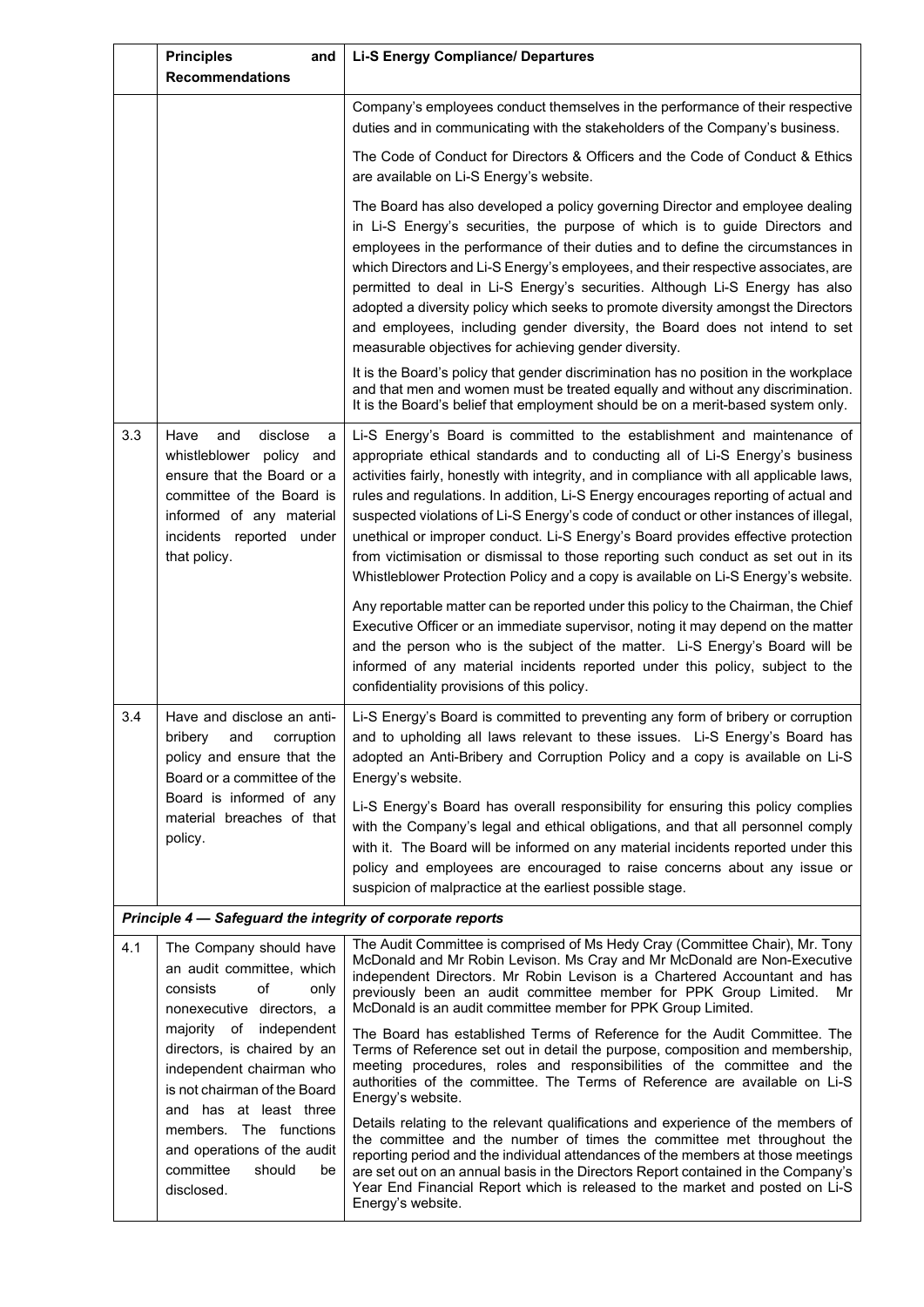|         | <b>Principles</b><br>and<br><b>Recommendations</b>                                                                                                                                          | <b>Li-S Energy Compliance/ Departures</b>                                                                                                                                                                                                                                                                                                                                                                                                                                                                                                                                                                                                                                                        |
|---------|---------------------------------------------------------------------------------------------------------------------------------------------------------------------------------------------|--------------------------------------------------------------------------------------------------------------------------------------------------------------------------------------------------------------------------------------------------------------------------------------------------------------------------------------------------------------------------------------------------------------------------------------------------------------------------------------------------------------------------------------------------------------------------------------------------------------------------------------------------------------------------------------------------|
|         |                                                                                                                                                                                             | Company's employees conduct themselves in the performance of their respective<br>duties and in communicating with the stakeholders of the Company's business.                                                                                                                                                                                                                                                                                                                                                                                                                                                                                                                                    |
|         |                                                                                                                                                                                             | The Code of Conduct for Directors & Officers and the Code of Conduct & Ethics<br>are available on Li-S Energy's website.                                                                                                                                                                                                                                                                                                                                                                                                                                                                                                                                                                         |
|         |                                                                                                                                                                                             | The Board has also developed a policy governing Director and employee dealing<br>in Li-S Energy's securities, the purpose of which is to guide Directors and<br>employees in the performance of their duties and to define the circumstances in<br>which Directors and Li-S Energy's employees, and their respective associates, are<br>permitted to deal in Li-S Energy's securities. Although Li-S Energy has also<br>adopted a diversity policy which seeks to promote diversity amongst the Directors<br>and employees, including gender diversity, the Board does not intend to set<br>measurable objectives for achieving gender diversity.                                                |
|         |                                                                                                                                                                                             | It is the Board's policy that gender discrimination has no position in the workplace<br>and that men and women must be treated equally and without any discrimination.<br>It is the Board's belief that employment should be on a merit-based system only.                                                                                                                                                                                                                                                                                                                                                                                                                                       |
| 3.3     | disclose<br>Have<br>and<br>a<br>whistleblower policy and<br>ensure that the Board or a<br>committee of the Board is<br>informed of any material<br>incidents reported under<br>that policy. | Li-S Energy's Board is committed to the establishment and maintenance of<br>appropriate ethical standards and to conducting all of Li-S Energy's business<br>activities fairly, honestly with integrity, and in compliance with all applicable laws,<br>rules and regulations. In addition, Li-S Energy encourages reporting of actual and<br>suspected violations of Li-S Energy's code of conduct or other instances of illegal,<br>unethical or improper conduct. Li-S Energy's Board provides effective protection<br>from victimisation or dismissal to those reporting such conduct as set out in its<br>Whistleblower Protection Policy and a copy is available on Li-S Energy's website. |
|         |                                                                                                                                                                                             | Any reportable matter can be reported under this policy to the Chairman, the Chief<br>Executive Officer or an immediate supervisor, noting it may depend on the matter<br>and the person who is the subject of the matter. Li-S Energy's Board will be<br>informed of any material incidents reported under this policy, subject to the<br>confidentiality provisions of this policy.                                                                                                                                                                                                                                                                                                            |
| 3.4     | Have and disclose an anti-<br>bribery<br>corruption<br>and<br>policy and ensure that the<br>Board or a committee of the                                                                     | Li-S Energy's Board is committed to preventing any form of bribery or corruption<br>and to upholding all laws relevant to these issues. Li-S Energy's Board has<br>adopted an Anti-Bribery and Corruption Policy and a copy is available on Li-S<br>Energy's website.                                                                                                                                                                                                                                                                                                                                                                                                                            |
| policy. | Board is informed of any<br>material breaches of that                                                                                                                                       | Li-S Energy's Board has overall responsibility for ensuring this policy complies<br>with the Company's legal and ethical obligations, and that all personnel comply<br>with it. The Board will be informed on any material incidents reported under this<br>policy and employees are encouraged to raise concerns about any issue or<br>suspicion of malpractice at the earliest possible stage.                                                                                                                                                                                                                                                                                                 |
|         | Principle 4 - Safeguard the integrity of corporate reports                                                                                                                                  |                                                                                                                                                                                                                                                                                                                                                                                                                                                                                                                                                                                                                                                                                                  |
| 4.1     | The Company should have<br>an audit committee, which<br>consists<br>of<br>only<br>nonexecutive directors, a                                                                                 | The Audit Committee is comprised of Ms Hedy Cray (Committee Chair), Mr. Tony<br>McDonald and Mr Robin Levison. Ms Cray and Mr McDonald are Non-Executive<br>independent Directors. Mr Robin Levison is a Chartered Accountant and has<br>previously been an audit committee member for PPK Group Limited.<br>Mr<br>McDonald is an audit committee member for PPK Group Limited.                                                                                                                                                                                                                                                                                                                  |
|         | majority of independent<br>directors, is chaired by an<br>independent chairman who<br>is not chairman of the Board<br>and has at least three                                                | The Board has established Terms of Reference for the Audit Committee. The<br>Terms of Reference set out in detail the purpose, composition and membership,<br>meeting procedures, roles and responsibilities of the committee and the<br>authorities of the committee. The Terms of Reference are available on Li-S<br>Energy's website.                                                                                                                                                                                                                                                                                                                                                         |
|         | members. The functions<br>and operations of the audit<br>committee<br>should<br>be<br>disclosed.                                                                                            | Details relating to the relevant qualifications and experience of the members of<br>the committee and the number of times the committee met throughout the<br>reporting period and the individual attendances of the members at those meetings<br>are set out on an annual basis in the Directors Report contained in the Company's<br>Year End Financial Report which is released to the market and posted on Li-S<br>Energy's website.                                                                                                                                                                                                                                                         |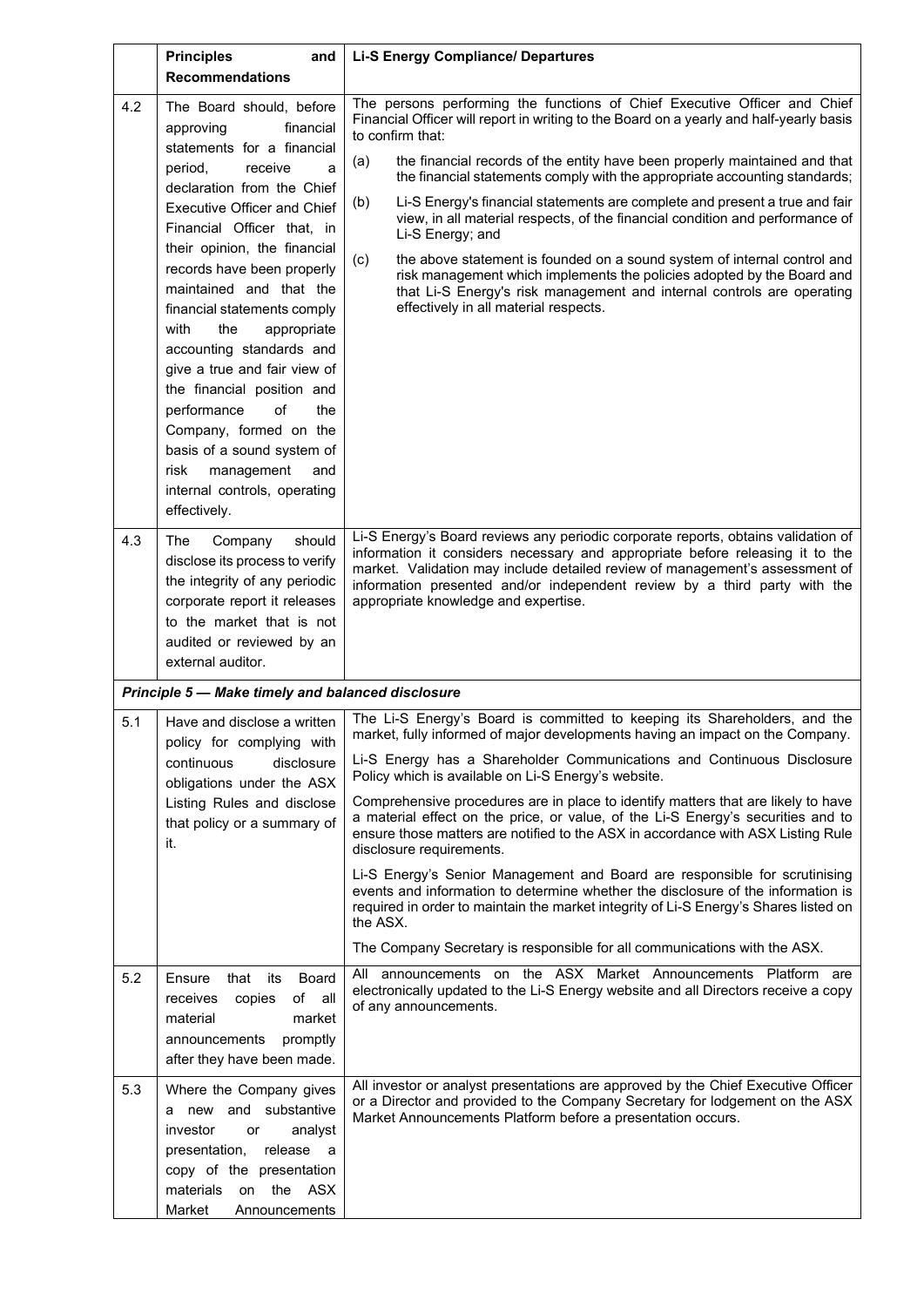|     | <b>Principles</b><br>and<br><b>Recommendations</b>                                                                                                                                                                                                                                                                                                                                                                                                                                                                                                                                                                             | <b>Li-S Energy Compliance/ Departures</b>                                                                                                                                                                                                                                                                                                                                                                                                                                                                                                                                                                                                                                                                                                                                                                                                                                                                                               |
|-----|--------------------------------------------------------------------------------------------------------------------------------------------------------------------------------------------------------------------------------------------------------------------------------------------------------------------------------------------------------------------------------------------------------------------------------------------------------------------------------------------------------------------------------------------------------------------------------------------------------------------------------|-----------------------------------------------------------------------------------------------------------------------------------------------------------------------------------------------------------------------------------------------------------------------------------------------------------------------------------------------------------------------------------------------------------------------------------------------------------------------------------------------------------------------------------------------------------------------------------------------------------------------------------------------------------------------------------------------------------------------------------------------------------------------------------------------------------------------------------------------------------------------------------------------------------------------------------------|
| 4.2 | The Board should, before<br>approving<br>financial<br>statements for a financial<br>period,<br>receive<br>a<br>declaration from the Chief<br><b>Executive Officer and Chief</b><br>Financial Officer that, in<br>their opinion, the financial<br>records have been properly<br>maintained and that the<br>financial statements comply<br>with<br>the<br>appropriate<br>accounting standards and<br>give a true and fair view of<br>the financial position and<br>performance<br>the<br>of<br>Company, formed on the<br>basis of a sound system of<br>risk<br>management<br>and<br>internal controls, operating<br>effectively. | The persons performing the functions of Chief Executive Officer and Chief<br>Financial Officer will report in writing to the Board on a yearly and half-yearly basis<br>to confirm that:<br>the financial records of the entity have been properly maintained and that<br>(a)<br>the financial statements comply with the appropriate accounting standards;<br>Li-S Energy's financial statements are complete and present a true and fair<br>(b)<br>view, in all material respects, of the financial condition and performance of<br>Li-S Energy; and<br>the above statement is founded on a sound system of internal control and<br>(c)<br>risk management which implements the policies adopted by the Board and<br>that Li-S Energy's risk management and internal controls are operating<br>effectively in all material respects.                                                                                                  |
| 4.3 | Company<br>should<br>The<br>disclose its process to verify<br>the integrity of any periodic<br>corporate report it releases<br>to the market that is not<br>audited or reviewed by an<br>external auditor.                                                                                                                                                                                                                                                                                                                                                                                                                     | Li-S Energy's Board reviews any periodic corporate reports, obtains validation of<br>information it considers necessary and appropriate before releasing it to the<br>market. Validation may include detailed review of management's assessment of<br>information presented and/or independent review by a third party with the<br>appropriate knowledge and expertise.                                                                                                                                                                                                                                                                                                                                                                                                                                                                                                                                                                 |
|     | Principle 5 - Make timely and balanced disclosure                                                                                                                                                                                                                                                                                                                                                                                                                                                                                                                                                                              |                                                                                                                                                                                                                                                                                                                                                                                                                                                                                                                                                                                                                                                                                                                                                                                                                                                                                                                                         |
| 5.1 | Have and disclose a written<br>policy for complying with<br>disclosure<br>continuous<br>obligations under the ASX<br>Listing Rules and disclose<br>that policy or a summary of<br>it.                                                                                                                                                                                                                                                                                                                                                                                                                                          | The Li-S Energy's Board is committed to keeping its Shareholders, and the<br>market, fully informed of major developments having an impact on the Company.<br>Li-S Energy has a Shareholder Communications and Continuous Disclosure<br>Policy which is available on Li-S Energy's website.<br>Comprehensive procedures are in place to identify matters that are likely to have<br>a material effect on the price, or value, of the Li-S Energy's securities and to<br>ensure those matters are notified to the ASX in accordance with ASX Listing Rule<br>disclosure requirements.<br>Li-S Energy's Senior Management and Board are responsible for scrutinising<br>events and information to determine whether the disclosure of the information is<br>required in order to maintain the market integrity of Li-S Energy's Shares listed on<br>the ASX.<br>The Company Secretary is responsible for all communications with the ASX. |
| 5.2 | Ensure<br>that<br><b>Board</b><br>its<br>of all<br>receives<br>copies<br>material<br>market<br>announcements promptly<br>after they have been made.                                                                                                                                                                                                                                                                                                                                                                                                                                                                            | All announcements on the ASX Market Announcements Platform are<br>electronically updated to the Li-S Energy website and all Directors receive a copy<br>of any announcements.                                                                                                                                                                                                                                                                                                                                                                                                                                                                                                                                                                                                                                                                                                                                                           |
| 5.3 | Where the Company gives<br>a new and substantive<br>investor<br>analyst<br>or<br>presentation,<br>release a<br>copy of the presentation<br>on the ASX<br>materials<br>Market<br>Announcements                                                                                                                                                                                                                                                                                                                                                                                                                                  | All investor or analyst presentations are approved by the Chief Executive Officer<br>or a Director and provided to the Company Secretary for lodgement on the ASX<br>Market Announcements Platform before a presentation occurs.                                                                                                                                                                                                                                                                                                                                                                                                                                                                                                                                                                                                                                                                                                        |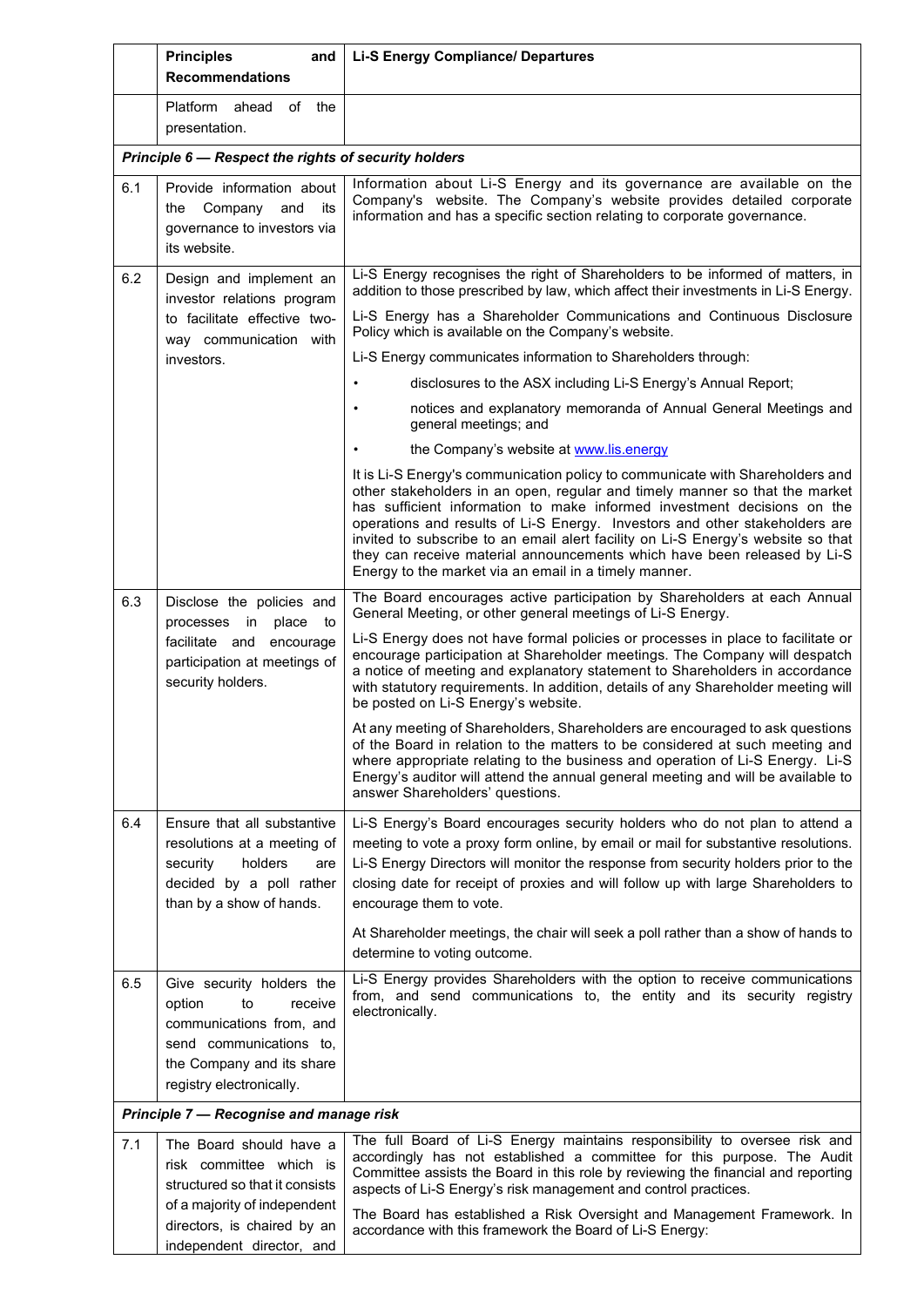|                                         | <b>Principles</b><br>and<br><b>Recommendations</b>                                                                                                                   | <b>Li-S Energy Compliance/ Departures</b>                                                                                                                                                                                                                                                                                                                                                                                                                                                                                                       |
|-----------------------------------------|----------------------------------------------------------------------------------------------------------------------------------------------------------------------|-------------------------------------------------------------------------------------------------------------------------------------------------------------------------------------------------------------------------------------------------------------------------------------------------------------------------------------------------------------------------------------------------------------------------------------------------------------------------------------------------------------------------------------------------|
|                                         | Platform ahead<br>of<br>the<br>presentation.                                                                                                                         |                                                                                                                                                                                                                                                                                                                                                                                                                                                                                                                                                 |
|                                         | Principle 6 - Respect the rights of security holders                                                                                                                 |                                                                                                                                                                                                                                                                                                                                                                                                                                                                                                                                                 |
| 6.1                                     | Provide information about<br>the Company<br>and<br>its<br>governance to investors via<br>its website.                                                                | Information about Li-S Energy and its governance are available on the<br>Company's website. The Company's website provides detailed corporate<br>information and has a specific section relating to corporate governance.                                                                                                                                                                                                                                                                                                                       |
| 6.2                                     | Design and implement an<br>investor relations program                                                                                                                | Li-S Energy recognises the right of Shareholders to be informed of matters, in<br>addition to those prescribed by law, which affect their investments in Li-S Energy.                                                                                                                                                                                                                                                                                                                                                                           |
|                                         | to facilitate effective two-<br>way communication with                                                                                                               | Li-S Energy has a Shareholder Communications and Continuous Disclosure<br>Policy which is available on the Company's website.                                                                                                                                                                                                                                                                                                                                                                                                                   |
|                                         | investors.                                                                                                                                                           | Li-S Energy communicates information to Shareholders through:                                                                                                                                                                                                                                                                                                                                                                                                                                                                                   |
|                                         |                                                                                                                                                                      | disclosures to the ASX including Li-S Energy's Annual Report;                                                                                                                                                                                                                                                                                                                                                                                                                                                                                   |
|                                         |                                                                                                                                                                      | notices and explanatory memoranda of Annual General Meetings and<br>general meetings; and                                                                                                                                                                                                                                                                                                                                                                                                                                                       |
|                                         |                                                                                                                                                                      | the Company's website at www.lis.energy                                                                                                                                                                                                                                                                                                                                                                                                                                                                                                         |
|                                         |                                                                                                                                                                      | It is Li-S Energy's communication policy to communicate with Shareholders and<br>other stakeholders in an open, regular and timely manner so that the market<br>has sufficient information to make informed investment decisions on the<br>operations and results of Li-S Energy. Investors and other stakeholders are<br>invited to subscribe to an email alert facility on Li-S Energy's website so that<br>they can receive material announcements which have been released by Li-S<br>Energy to the market via an email in a timely manner. |
| 6.3                                     | Disclose the policies and<br>processes in<br>place<br>to                                                                                                             | The Board encourages active participation by Shareholders at each Annual<br>General Meeting, or other general meetings of Li-S Energy.                                                                                                                                                                                                                                                                                                                                                                                                          |
|                                         | facilitate and<br>encourage<br>participation at meetings of<br>security holders.                                                                                     | Li-S Energy does not have formal policies or processes in place to facilitate or<br>encourage participation at Shareholder meetings. The Company will despatch<br>a notice of meeting and explanatory statement to Shareholders in accordance<br>with statutory requirements. In addition, details of any Shareholder meeting will<br>be posted on Li-S Energy's website.                                                                                                                                                                       |
|                                         |                                                                                                                                                                      | At any meeting of Shareholders, Shareholders are encouraged to ask questions<br>of the Board in relation to the matters to be considered at such meeting and<br>where appropriate relating to the business and operation of Li-S Energy. Li-S<br>Energy's auditor will attend the annual general meeting and will be available to<br>answer Shareholders' questions.                                                                                                                                                                            |
| 6.4                                     | Ensure that all substantive                                                                                                                                          | Li-S Energy's Board encourages security holders who do not plan to attend a                                                                                                                                                                                                                                                                                                                                                                                                                                                                     |
|                                         | resolutions at a meeting of<br>holders<br>security<br>are<br>decided by a poll rather<br>than by a show of hands.                                                    | meeting to vote a proxy form online, by email or mail for substantive resolutions.<br>Li-S Energy Directors will monitor the response from security holders prior to the<br>closing date for receipt of proxies and will follow up with large Shareholders to<br>encourage them to vote.                                                                                                                                                                                                                                                        |
|                                         |                                                                                                                                                                      | At Shareholder meetings, the chair will seek a poll rather than a show of hands to<br>determine to voting outcome.                                                                                                                                                                                                                                                                                                                                                                                                                              |
| 6.5                                     | Give security holders the<br>to<br>option<br>receive<br>communications from, and<br>send communications to,<br>the Company and its share<br>registry electronically. | Li-S Energy provides Shareholders with the option to receive communications<br>from, and send communications to, the entity and its security registry<br>electronically.                                                                                                                                                                                                                                                                                                                                                                        |
| Principle 7 - Recognise and manage risk |                                                                                                                                                                      |                                                                                                                                                                                                                                                                                                                                                                                                                                                                                                                                                 |
| 7.1                                     | The Board should have a<br>risk committee which is<br>structured so that it consists<br>of a majority of independent                                                 | The full Board of Li-S Energy maintains responsibility to oversee risk and<br>accordingly has not established a committee for this purpose. The Audit<br>Committee assists the Board in this role by reviewing the financial and reporting<br>aspects of Li-S Energy's risk management and control practices.                                                                                                                                                                                                                                   |
|                                         | directors, is chaired by an<br>independent director, and                                                                                                             | The Board has established a Risk Oversight and Management Framework. In<br>accordance with this framework the Board of Li-S Energy:                                                                                                                                                                                                                                                                                                                                                                                                             |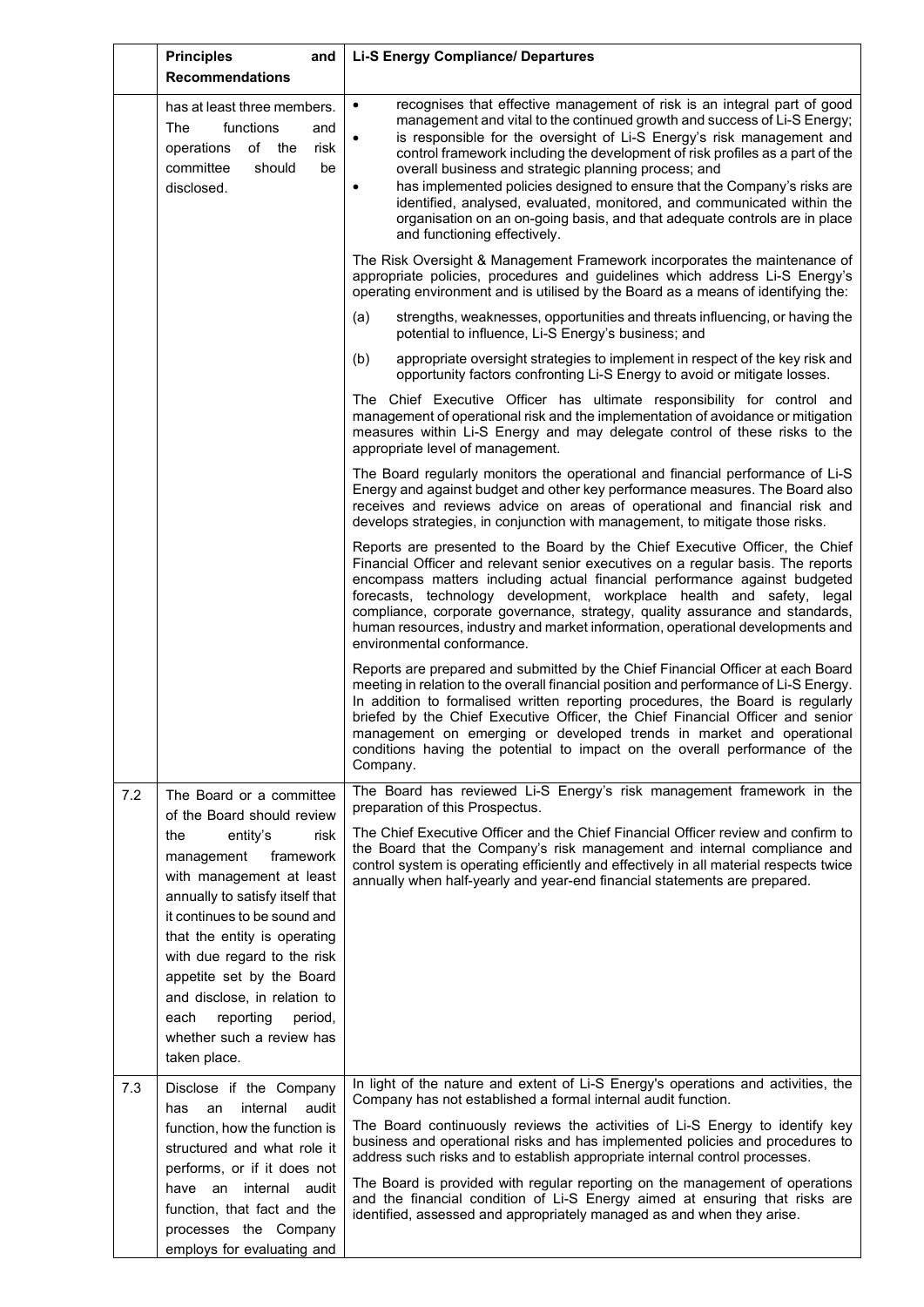|     | <b>Principles</b><br>and                                                                                                                                                                                                                                                                                                                                                 | <b>Li-S Energy Compliance/ Departures</b>                                                                                                                                                                                                                                                                                                                                                                                                                                                                                                                                                                                                                |
|-----|--------------------------------------------------------------------------------------------------------------------------------------------------------------------------------------------------------------------------------------------------------------------------------------------------------------------------------------------------------------------------|----------------------------------------------------------------------------------------------------------------------------------------------------------------------------------------------------------------------------------------------------------------------------------------------------------------------------------------------------------------------------------------------------------------------------------------------------------------------------------------------------------------------------------------------------------------------------------------------------------------------------------------------------------|
|     | <b>Recommendations</b>                                                                                                                                                                                                                                                                                                                                                   |                                                                                                                                                                                                                                                                                                                                                                                                                                                                                                                                                                                                                                                          |
|     | has at least three members.<br>The<br>functions<br>and<br>operations<br>of the<br>risk<br>committee<br>should<br>be<br>disclosed.                                                                                                                                                                                                                                        | recognises that effective management of risk is an integral part of good<br>$\bullet$<br>management and vital to the continued growth and success of Li-S Energy;<br>is responsible for the oversight of Li-S Energy's risk management and<br>control framework including the development of risk profiles as a part of the<br>overall business and strategic planning process; and<br>has implemented policies designed to ensure that the Company's risks are<br>identified, analysed, evaluated, monitored, and communicated within the<br>organisation on an on-going basis, and that adequate controls are in place<br>and functioning effectively. |
|     |                                                                                                                                                                                                                                                                                                                                                                          | The Risk Oversight & Management Framework incorporates the maintenance of<br>appropriate policies, procedures and guidelines which address Li-S Energy's<br>operating environment and is utilised by the Board as a means of identifying the:                                                                                                                                                                                                                                                                                                                                                                                                            |
|     |                                                                                                                                                                                                                                                                                                                                                                          | strengths, weaknesses, opportunities and threats influencing, or having the<br>(a)<br>potential to influence, Li-S Energy's business; and                                                                                                                                                                                                                                                                                                                                                                                                                                                                                                                |
|     |                                                                                                                                                                                                                                                                                                                                                                          | (b)<br>appropriate oversight strategies to implement in respect of the key risk and<br>opportunity factors confronting Li-S Energy to avoid or mitigate losses.                                                                                                                                                                                                                                                                                                                                                                                                                                                                                          |
|     |                                                                                                                                                                                                                                                                                                                                                                          | The Chief Executive Officer has ultimate responsibility for control and<br>management of operational risk and the implementation of avoidance or mitigation<br>measures within Li-S Energy and may delegate control of these risks to the<br>appropriate level of management.                                                                                                                                                                                                                                                                                                                                                                            |
|     |                                                                                                                                                                                                                                                                                                                                                                          | The Board regularly monitors the operational and financial performance of Li-S<br>Energy and against budget and other key performance measures. The Board also<br>receives and reviews advice on areas of operational and financial risk and<br>develops strategies, in conjunction with management, to mitigate those risks.                                                                                                                                                                                                                                                                                                                            |
|     |                                                                                                                                                                                                                                                                                                                                                                          | Reports are presented to the Board by the Chief Executive Officer, the Chief<br>Financial Officer and relevant senior executives on a regular basis. The reports<br>encompass matters including actual financial performance against budgeted<br>forecasts, technology development, workplace health and safety, legal<br>compliance, corporate governance, strategy, quality assurance and standards,<br>human resources, industry and market information, operational developments and<br>environmental conformance.                                                                                                                                   |
|     |                                                                                                                                                                                                                                                                                                                                                                          | Reports are prepared and submitted by the Chief Financial Officer at each Board<br>meeting in relation to the overall financial position and performance of Li-S Energy.<br>In addition to formalised written reporting procedures, the Board is regularly<br>briefed by the Chief Executive Officer, the Chief Financial Officer and senior<br>management on emerging or developed trends in market and operational<br>conditions having the potential to impact on the overall performance of the<br>Company.                                                                                                                                          |
| 7.2 | The Board or a committee                                                                                                                                                                                                                                                                                                                                                 | The Board has reviewed Li-S Energy's risk management framework in the<br>preparation of this Prospectus.                                                                                                                                                                                                                                                                                                                                                                                                                                                                                                                                                 |
|     | of the Board should review<br>the<br>entity's<br>risk<br>management<br>framework<br>with management at least<br>annually to satisfy itself that<br>it continues to be sound and<br>that the entity is operating<br>with due regard to the risk<br>appetite set by the Board<br>and disclose, in relation to<br>reporting<br>period,<br>each<br>whether such a review has | The Chief Executive Officer and the Chief Financial Officer review and confirm to<br>the Board that the Company's risk management and internal compliance and<br>control system is operating efficiently and effectively in all material respects twice<br>annually when half-yearly and year-end financial statements are prepared.                                                                                                                                                                                                                                                                                                                     |
| 7.3 | taken place.<br>Disclose if the Company                                                                                                                                                                                                                                                                                                                                  | In light of the nature and extent of Li-S Energy's operations and activities, the                                                                                                                                                                                                                                                                                                                                                                                                                                                                                                                                                                        |
|     | has<br>internal<br>an<br>audit<br>function, how the function is<br>structured and what role it<br>performs, or if it does not<br>have an internal audit<br>function, that fact and the<br>processes the Company                                                                                                                                                          | Company has not established a formal internal audit function.<br>The Board continuously reviews the activities of Li-S Energy to identify key<br>business and operational risks and has implemented policies and procedures to<br>address such risks and to establish appropriate internal control processes.<br>The Board is provided with regular reporting on the management of operations<br>and the financial condition of Li-S Energy aimed at ensuring that risks are<br>identified, assessed and appropriately managed as and when they arise.                                                                                                   |
|     | employs for evaluating and                                                                                                                                                                                                                                                                                                                                               |                                                                                                                                                                                                                                                                                                                                                                                                                                                                                                                                                                                                                                                          |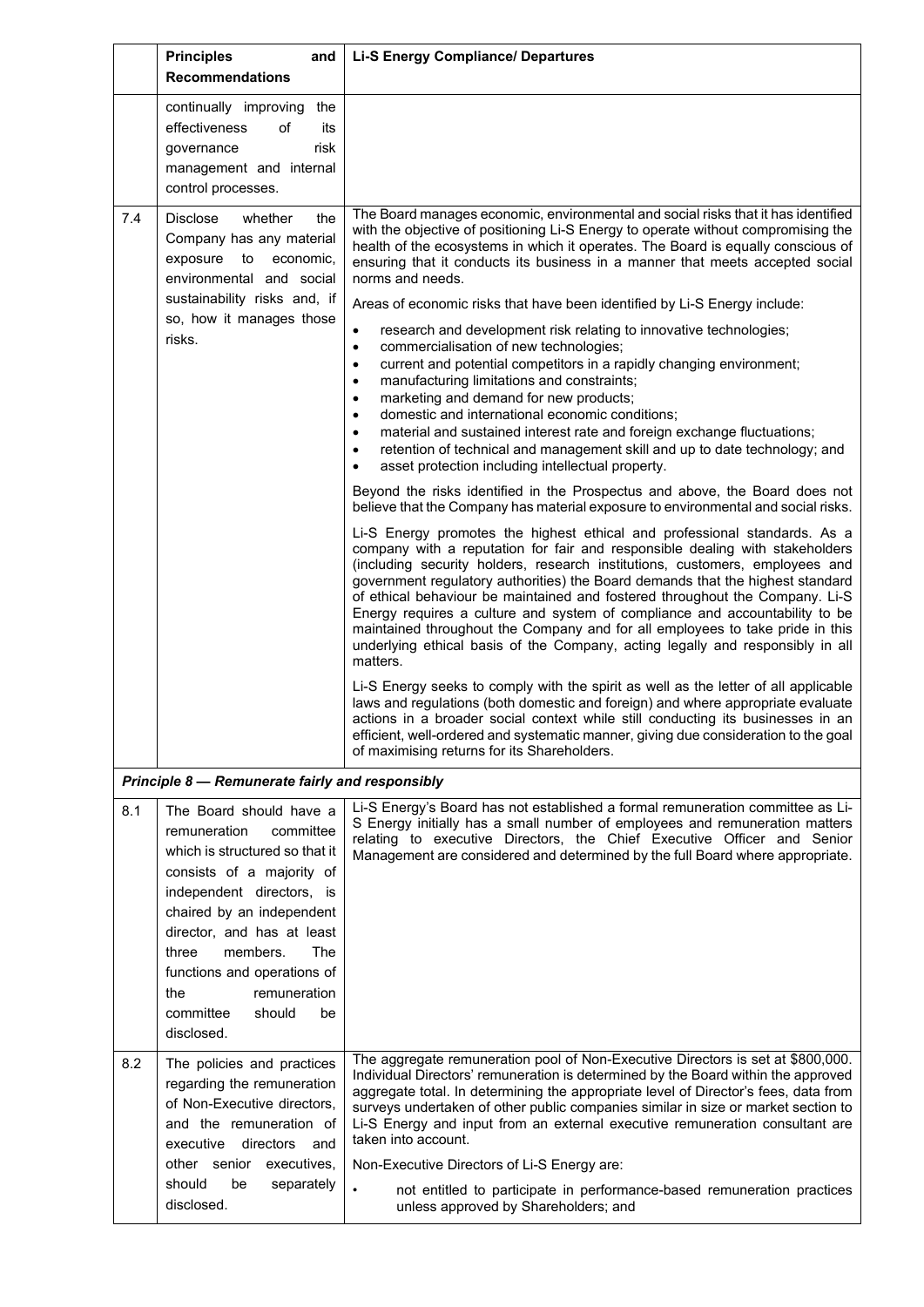|     | <b>Principles</b><br>and<br><b>Recommendations</b>                                                                                                                                                                                                                                                                                       | <b>Li-S Energy Compliance/ Departures</b>                                                                                                                                                                                                                                                                                                                                                                                                                                                                                                                                                                                                                                                                                                                                                                                                                                                                                                                                                                                                                                                                                                                                                                                                                                                                                                                                                                                                                                                                                                                                                                                                                                                                                                                                                                                                                                                                                                                                                                                                                                                                                                                                                                                                                                                                                                                      |
|-----|------------------------------------------------------------------------------------------------------------------------------------------------------------------------------------------------------------------------------------------------------------------------------------------------------------------------------------------|----------------------------------------------------------------------------------------------------------------------------------------------------------------------------------------------------------------------------------------------------------------------------------------------------------------------------------------------------------------------------------------------------------------------------------------------------------------------------------------------------------------------------------------------------------------------------------------------------------------------------------------------------------------------------------------------------------------------------------------------------------------------------------------------------------------------------------------------------------------------------------------------------------------------------------------------------------------------------------------------------------------------------------------------------------------------------------------------------------------------------------------------------------------------------------------------------------------------------------------------------------------------------------------------------------------------------------------------------------------------------------------------------------------------------------------------------------------------------------------------------------------------------------------------------------------------------------------------------------------------------------------------------------------------------------------------------------------------------------------------------------------------------------------------------------------------------------------------------------------------------------------------------------------------------------------------------------------------------------------------------------------------------------------------------------------------------------------------------------------------------------------------------------------------------------------------------------------------------------------------------------------------------------------------------------------------------------------------------------------|
|     | continually improving the<br>effectiveness<br>of<br>its<br>risk<br>governance<br>management and internal<br>control processes.                                                                                                                                                                                                           |                                                                                                                                                                                                                                                                                                                                                                                                                                                                                                                                                                                                                                                                                                                                                                                                                                                                                                                                                                                                                                                                                                                                                                                                                                                                                                                                                                                                                                                                                                                                                                                                                                                                                                                                                                                                                                                                                                                                                                                                                                                                                                                                                                                                                                                                                                                                                                |
| 7.4 | <b>Disclose</b><br>the<br>whether<br>Company has any material<br>exposure<br>to<br>economic,<br>environmental and social<br>sustainability risks and, if<br>so, how it manages those<br>risks.                                                                                                                                           | The Board manages economic, environmental and social risks that it has identified<br>with the objective of positioning Li-S Energy to operate without compromising the<br>health of the ecosystems in which it operates. The Board is equally conscious of<br>ensuring that it conducts its business in a manner that meets accepted social<br>norms and needs.<br>Areas of economic risks that have been identified by Li-S Energy include:<br>research and development risk relating to innovative technologies;<br>$\bullet$<br>commercialisation of new technologies;<br>$\bullet$<br>current and potential competitors in a rapidly changing environment;<br>$\bullet$<br>manufacturing limitations and constraints;<br>$\bullet$<br>marketing and demand for new products;<br>٠<br>domestic and international economic conditions;<br>$\bullet$<br>material and sustained interest rate and foreign exchange fluctuations;<br>$\bullet$<br>retention of technical and management skill and up to date technology; and<br>$\bullet$<br>asset protection including intellectual property.<br>$\bullet$<br>Beyond the risks identified in the Prospectus and above, the Board does not<br>believe that the Company has material exposure to environmental and social risks.<br>Li-S Energy promotes the highest ethical and professional standards. As a<br>company with a reputation for fair and responsible dealing with stakeholders<br>(including security holders, research institutions, customers, employees and<br>government regulatory authorities) the Board demands that the highest standard<br>of ethical behaviour be maintained and fostered throughout the Company. Li-S<br>Energy requires a culture and system of compliance and accountability to be<br>maintained throughout the Company and for all employees to take pride in this<br>underlying ethical basis of the Company, acting legally and responsibly in all<br>matters.<br>Li-S Energy seeks to comply with the spirit as well as the letter of all applicable<br>laws and regulations (both domestic and foreign) and where appropriate evaluate<br>actions in a broader social context while still conducting its businesses in an<br>efficient, well-ordered and systematic manner, giving due consideration to the goal<br>of maximising returns for its Shareholders. |
|     | Principle 8 - Remunerate fairly and responsibly                                                                                                                                                                                                                                                                                          |                                                                                                                                                                                                                                                                                                                                                                                                                                                                                                                                                                                                                                                                                                                                                                                                                                                                                                                                                                                                                                                                                                                                                                                                                                                                                                                                                                                                                                                                                                                                                                                                                                                                                                                                                                                                                                                                                                                                                                                                                                                                                                                                                                                                                                                                                                                                                                |
| 8.1 | The Board should have a<br>remuneration<br>committee<br>which is structured so that it<br>consists of a majority of<br>independent directors, is<br>chaired by an independent<br>director, and has at least<br>members.<br>The<br>three<br>functions and operations of<br>the<br>remuneration<br>committee<br>should<br>be<br>disclosed. | Li-S Energy's Board has not established a formal remuneration committee as Li-<br>S Energy initially has a small number of employees and remuneration matters<br>relating to executive Directors, the Chief Executive Officer and Senior<br>Management are considered and determined by the full Board where appropriate.                                                                                                                                                                                                                                                                                                                                                                                                                                                                                                                                                                                                                                                                                                                                                                                                                                                                                                                                                                                                                                                                                                                                                                                                                                                                                                                                                                                                                                                                                                                                                                                                                                                                                                                                                                                                                                                                                                                                                                                                                                      |
| 8.2 | The policies and practices<br>regarding the remuneration<br>of Non-Executive directors,<br>and the remuneration of<br>executive<br>directors<br>and<br>other senior executives,<br>should<br>be<br>separately<br>disclosed.                                                                                                              | The aggregate remuneration pool of Non-Executive Directors is set at \$800,000.<br>Individual Directors' remuneration is determined by the Board within the approved<br>aggregate total. In determining the appropriate level of Director's fees, data from<br>surveys undertaken of other public companies similar in size or market section to<br>Li-S Energy and input from an external executive remuneration consultant are<br>taken into account.<br>Non-Executive Directors of Li-S Energy are:<br>$\bullet$<br>not entitled to participate in performance-based remuneration practices<br>unless approved by Shareholders; and                                                                                                                                                                                                                                                                                                                                                                                                                                                                                                                                                                                                                                                                                                                                                                                                                                                                                                                                                                                                                                                                                                                                                                                                                                                                                                                                                                                                                                                                                                                                                                                                                                                                                                                         |